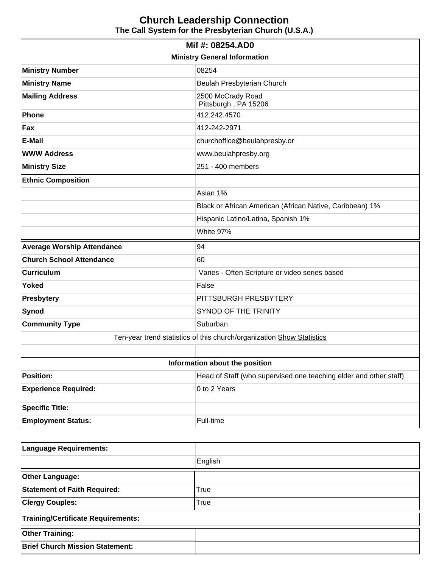|                                                          | Mif #: 08254.AD0                                                      |  |  |
|----------------------------------------------------------|-----------------------------------------------------------------------|--|--|
| <b>Ministry General Information</b>                      |                                                                       |  |  |
| 08254<br><b>Ministry Number</b>                          |                                                                       |  |  |
| <b>Ministry Name</b><br>Beulah Presbyterian Church       |                                                                       |  |  |
| <b>Mailing Address</b><br>2500 McCrady Road              |                                                                       |  |  |
|                                                          | Pittsburgh, PA 15206                                                  |  |  |
| Phone                                                    | 412.242.4570                                                          |  |  |
| Fax                                                      | 412-242-2971                                                          |  |  |
| E-Mail                                                   | churchoffice@beulahpresby.or                                          |  |  |
| <b>WWW Address</b>                                       | www.beulahpresby.org                                                  |  |  |
| <b>Ministry Size</b>                                     | 251 - 400 members                                                     |  |  |
| <b>Ethnic Composition</b>                                |                                                                       |  |  |
| Asian 1%                                                 |                                                                       |  |  |
| Black or African American (African Native, Caribbean) 1% |                                                                       |  |  |
|                                                          | Hispanic Latino/Latina, Spanish 1%                                    |  |  |
|                                                          | White 97%                                                             |  |  |
| <b>Average Worship Attendance</b><br>94                  |                                                                       |  |  |
| <b>Church School Attendance</b>                          |                                                                       |  |  |
|                                                          | 60                                                                    |  |  |
| <b>Curriculum</b>                                        | Varies - Often Scripture or video series based                        |  |  |
| <b>Yoked</b>                                             | False                                                                 |  |  |
| Presbytery                                               | PITTSBURGH PRESBYTERY                                                 |  |  |
| <b>Synod</b>                                             | SYNOD OF THE TRINITY                                                  |  |  |
| <b>Community Type</b>                                    | Suburban                                                              |  |  |
|                                                          | Ten-year trend statistics of this church/organization Show Statistics |  |  |
|                                                          |                                                                       |  |  |
|                                                          | Information about the position                                        |  |  |
| <b>Position:</b>                                         | Head of Staff (who supervised one teaching elder and other staff)     |  |  |
| <b>Experience Required:</b>                              | 0 to 2 Years                                                          |  |  |
| <b>Specific Title:</b>                                   |                                                                       |  |  |

| Language Requirements:                    |         |  |
|-------------------------------------------|---------|--|
|                                           | English |  |
| <b>Other Language:</b>                    |         |  |
| <b>Statement of Faith Required:</b>       | True    |  |
| <b>Clergy Couples:</b>                    | True    |  |
| <b>Training/Certificate Requirements:</b> |         |  |
| <b>Other Training:</b>                    |         |  |
| <b>Brief Church Mission Statement:</b>    |         |  |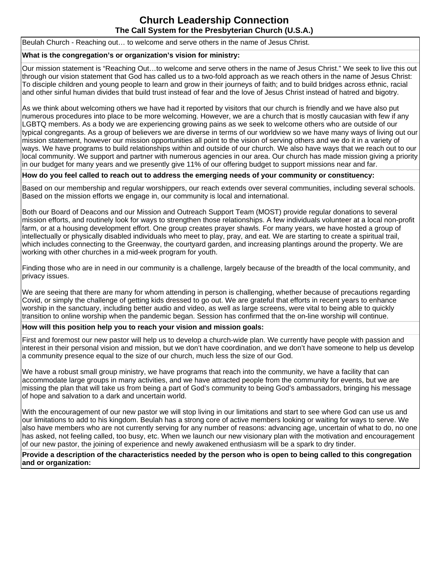Beulah Church - Reaching out… to welcome and serve others in the name of Jesus Christ.

#### **What is the congregation's or organization's vision for ministry:**

Our mission statement is "Reaching Out…to welcome and serve others in the name of Jesus Christ." We seek to live this out through our vision statement that God has called us to a two-fold approach as we reach others in the name of Jesus Christ: To disciple children and young people to learn and grow in their journeys of faith; and to build bridges across ethnic, racial and other sinful human divides that build trust instead of fear and the love of Jesus Christ instead of hatred and bigotry.

As we think about welcoming others we have had it reported by visitors that our church is friendly and we have also put numerous procedures into place to be more welcoming. However, we are a church that is mostly caucasian with few if any LGBTQ members. As a body we are experiencing growing pains as we seek to welcome others who are outside of our typical congregants. As a group of believers we are diverse in terms of our worldview so we have many ways of living out our mission statement, however our mission opportunities all point to the vision of serving others and we do it in a variety of ways. We have programs to build relationships within and outside of our church. We also have ways that we reach out to our local community. We support and partner with numerous agencies in our area. Our church has made mission giving a priority in our budget for many years and we presently give 11% of our offering budget to support missions near and far.

#### **How do you feel called to reach out to address the emerging needs of your community or constituency:**

Based on our membership and regular worshippers, our reach extends over several communities, including several schools. Based on the mission efforts we engage in, our community is local and international.

Both our Board of Deacons and our Mission and Outreach Support Team (MOST) provide regular donations to several mission efforts, and routinely look for ways to strengthen those relationships. A few individuals volunteer at a local non-profit farm, or at a housing development effort. One group creates prayer shawls. For many years, we have hosted a group of intellectually or physically disabled individuals who meet to play, pray, and eat. We are starting to create a spiritual trail, which includes connecting to the Greenway, the courtyard garden, and increasing plantings around the property. We are working with other churches in a mid-week program for youth.

Finding those who are in need in our community is a challenge, largely because of the breadth of the local community, and privacy issues.

We are seeing that there are many for whom attending in person is challenging, whether because of precautions regarding Covid, or simply the challenge of getting kids dressed to go out. We are grateful that efforts in recent years to enhance worship in the sanctuary, including better audio and video, as well as large screens, were vital to being able to quickly transition to online worship when the pandemic began. Session has confirmed that the on-line worship will continue.

#### **How will this position help you to reach your vision and mission goals:**

First and foremost our new pastor will help us to develop a church-wide plan. We currently have people with passion and interest in their personal vision and mission, but we don't have coordination, and we don't have someone to help us develop a community presence equal to the size of our church, much less the size of our God.

We have a robust small group ministry, we have programs that reach into the community, we have a facility that can accommodate large groups in many activities, and we have attracted people from the community for events, but we are missing the plan that will take us from being a part of God's community to being God's ambassadors, bringing his message of hope and salvation to a dark and uncertain world.

With the encouragement of our new pastor we will stop living in our limitations and start to see where God can use us and our limitations to add to his kingdom. Beulah has a strong core of active members looking or waiting for ways to serve. We also have members who are not currently serving for any number of reasons: advancing age, uncertain of what to do, no one has asked, not feeling called, too busy, etc. When we launch our new visionary plan with the motivation and encouragement of our new pastor, the joining of experience and newly awakened enthusiasm will be a spark to dry tinder.

#### **Provide a description of the characteristics needed by the person who is open to being called to this congregation and or organization:**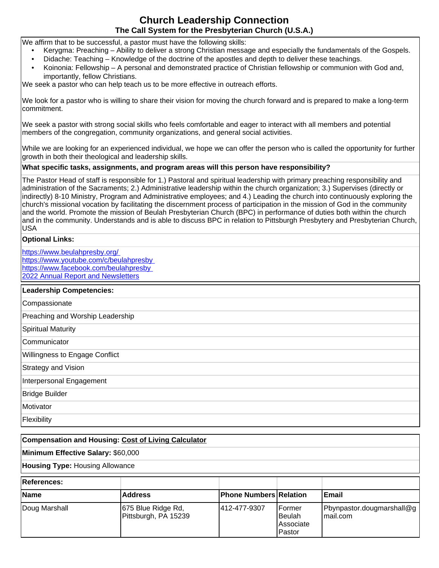We affirm that to be successful, a pastor must have the following skills:

- Kerygma: Preaching Ability to deliver a strong Christian message and especially the fundamentals of the Gospels.
- Didache: Teaching Knowledge of the doctrine of the apostles and depth to deliver these teachings.
- Koinonia: Fellowship A personal and demonstrated practice of Christian fellowship or communion with God and, importantly, fellow Christians.

We seek a pastor who can help teach us to be more effective in outreach efforts.

We look for a pastor who is willing to share their vision for moving the church forward and is prepared to make a long-term commitment.

We seek a pastor with strong social skills who feels comfortable and eager to interact with all members and potential members of the congregation, community organizations, and general social activities.

While we are looking for an experienced individual, we hope we can offer the person who is called the opportunity for further growth in both their theological and leadership skills.

#### **What specific tasks, assignments, and program areas will this person have responsibility?**

The Pastor Head of staff is responsible for 1.) Pastoral and spiritual leadership with primary preaching responsibility and administration of the Sacraments; 2.) Administrative leadership within the church organization; 3.) Supervises (directly or indirectly) 8-10 Ministry, Program and Administrative employees; and 4.) Leading the church into continuously exploring the church's missional vocation by facilitating the discernment process of participation in the mission of God in the community and the world. Promote the mission of Beulah Presbyterian Church (BPC) in performance of duties both within the church and in the community. Understands and is able to discuss BPC in relation to Pittsburgh Presbytery and Presbyterian Church, USA

#### **Optional Links:**

<https://www.beulahpresby.org/> <https://www.youtube.com/c/beulahpresby> <https://www.facebook.com/beulahpresby> [2022 Annual Report and Newsletters](https://drive.google.com/drive/folders/1RCm3ggbHyVUt3L20fKYiIJOs1tEHKY6m?usp=sharing)

#### **Leadership Competencies:**

## **Compensation and Housing: [Cost of Living Calculator](http://www.bankrate.com/brm/movecalc.asp)**

**Minimum Effective Salary:** \$60,000

**Housing Type:** Housing Allowance

| References:   |                                            |                               |                                                   |                                        |
|---------------|--------------------------------------------|-------------------------------|---------------------------------------------------|----------------------------------------|
| Name          | <b>Address</b>                             | <b>Phone Numbers Relation</b> |                                                   | <b>IEmail</b>                          |
| Doug Marshall | 675 Blue Ridge Rd,<br>Pittsburgh, PA 15239 | 1412-477-9307                 | IFormer<br><b>Beulah</b><br>IAssociate<br>IPastor | Pbynpastor.dougmarshall@g<br>Imail.com |